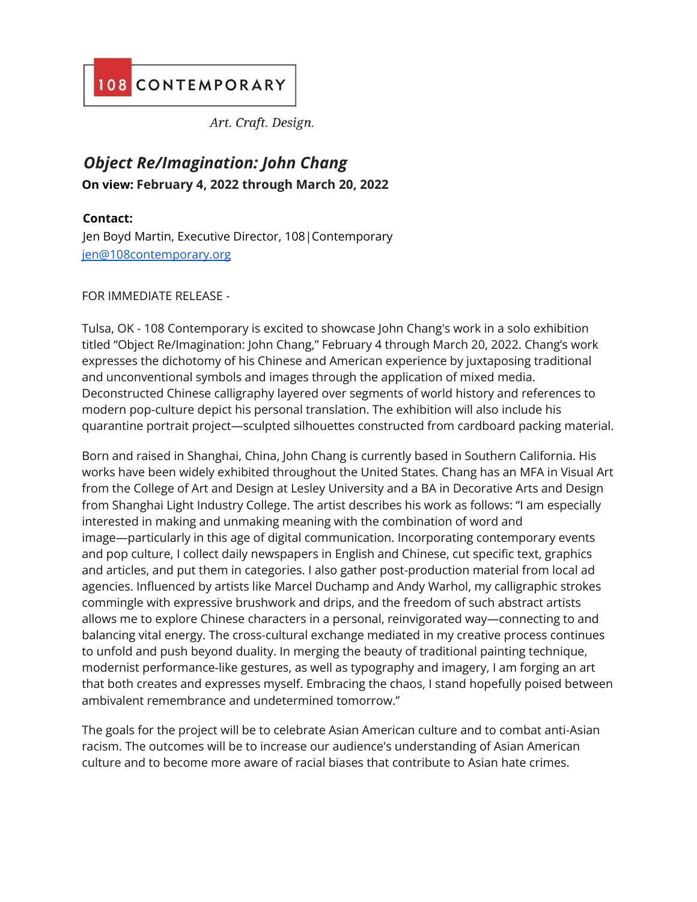## 108 CONTEMPORARY

Art. Craft. Design.

## *Object Re/Imagination: John Chang* **On view: February 4, 2022 through March 20, 2022**

## **Contact:**

Jen Boyd Martin, Executive Director, 108|Contemporary jen@108contemporary.org

## FOR IMMEDIATE RELEASE -

Tulsa, OK - 108 Contemporary is excited to showcase John Chang's work in a solo exhibition titled "Object Re/Imagination: John Chang," February 4 through March 20, 2022. Chang's work expresses the dichotomy of his Chinese and American experience by juxtaposing traditional and unconventional symbols and images through the application of mixed media. Deconstructed Chinese calligraphy layered over segments of world history and references to modern pop-culture depict his personal translation. The exhibition will also include his quarantine portrait project—sculpted silhouettes constructed from cardboard packing material.

Born and raised in Shanghai, China, John Chang is currently based in Southern California. His works have been widely exhibited throughout the United States. Chang has an MFA in Visual Art from the College of Art and Design at Lesley University and a BA in Decorative Arts and Design from Shanghai Light Industry College. The artist describes his work as follows: "I am especially interested in making and unmaking meaning with the combination of word and image—particularly in this age of digital communication. Incorporating contemporary events and pop culture, I collect daily newspapers in English and Chinese, cut specific text, graphics and articles, and put them in categories. I also gather post-production material from local ad agencies. Influenced by artists like Marcel Duchamp and Andy Warhol, my calligraphic strokes commingle with expressive brushwork and drips, and the freedom of such abstract artists allows me to explore Chinese characters in a personal, reinvigorated way—connecting to and balancing vital energy. The cross-cultural exchange mediated in my creative process continues to unfold and push beyond duality. In merging the beauty of traditional painting technique, modernist performance-like gestures, as well as typography and imagery, I am forging an art that both creates and expresses myself. Embracing the chaos, I stand hopefully poised between ambivalent remembrance and undetermined tomorrow."

The goals for the project will be to celebrate Asian American culture and to combat anti-Asian racism. The outcomes will be to increase our audience's understanding of Asian American culture and to become more aware of racial biases that contribute to Asian hate crimes.